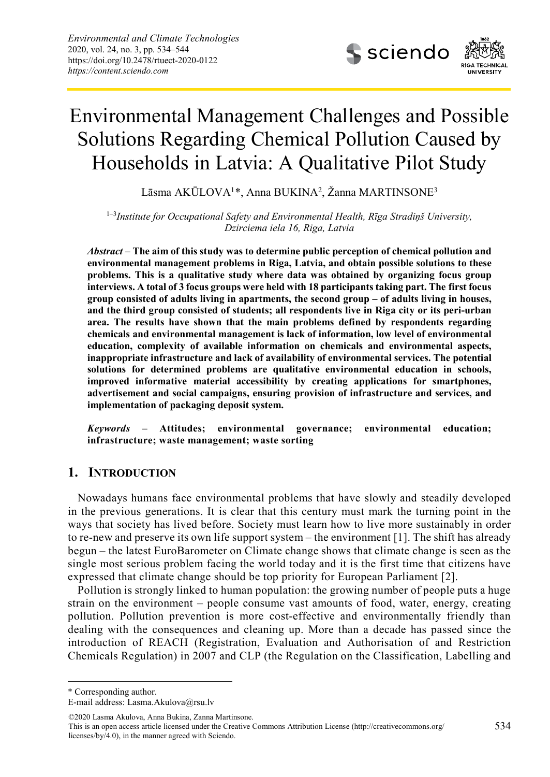

# Environmental Management Challenges and Possible Solutions Regarding Chemical Pollution Caused by Households in Latvia: A Qualitative Pilot Study

Lāsma AKŪLOVA<sup>1</sup>[\\*](#page-0-0), Anna BUKINA<sup>2</sup>, Žanna MARTINSONE<sup>3</sup>

1–3*Institute for Occupational Safety and Environmental Health, Rīga Stradiņš University, Dzirciema iela 16, Riga, Latvia*

*Abstract* **– The aim of this study was to determine public perception of chemical pollution and environmental management problems in Riga, Latvia, and obtain possible solutions to these problems. This is a qualitative study where data was obtained by organizing focus group interviews. A total of 3 focus groups were held with 18 participants taking part. The first focus group consisted of adults living in apartments, the second group – of adults living in houses, and the third group consisted of students; all respondents live in Riga city or its peri-urban area. The results have shown that the main problems defined by respondents regarding chemicals and environmental management is lack of information, low level of environmental education, complexity of available information on chemicals and environmental aspects, inappropriate infrastructure and lack of availability of environmental services. The potential solutions for determined problems are qualitative environmental education in schools, improved informative material accessibility by creating applications for smartphones, advertisement and social campaigns, ensuring provision of infrastructure and services, and implementation of packaging deposit system.**

*Keywords* **– Attitudes; environmental governance; environmental education; infrastructure; waste management; waste sorting**

## **1. INTRODUCTION**

Nowadays humans face environmental problems that have slowly and steadily developed in the previous generations. It is clear that this century must mark the turning point in the ways that society has lived before. Society must learn how to live more sustainably in order to re-new and preserve its own life support system – the environment [1]. The shift has already begun – the latest EuroBarometer on Climate change shows that climate change is seen as the single most serious problem facing the world today and it is the first time that citizens have expressed that climate change should be top priority for European Parliament [2].

Pollution is strongly linked to human population: the growing number of people puts a huge strain on the environment – people consume vast amounts of food, water, energy, creating pollution. Pollution prevention is more cost-effective and environmentally friendly than dealing with the consequences and cleaning up. More than a decade has passed since the introduction of REACH (Registration, Evaluation and Authorisation of and Restriction Chemicals Regulation) in 2007 and CLP (the Regulation on the Classification, Labelling and

<span id="page-0-0"></span>\* Corresponding author.

1

E-mail address: [Lasma.Akulova@rsu.lv](mailto:Lasma.Akulova@rsu.lv)

<sup>©2020</sup> Lasma Akulova, Anna Bukina, Zanna Martinsone.

This is an open access article licensed under the Creative Commons Attribution License (http://creativecommons.org/ licenses/by/4.0), in the manner agreed with Sciendo.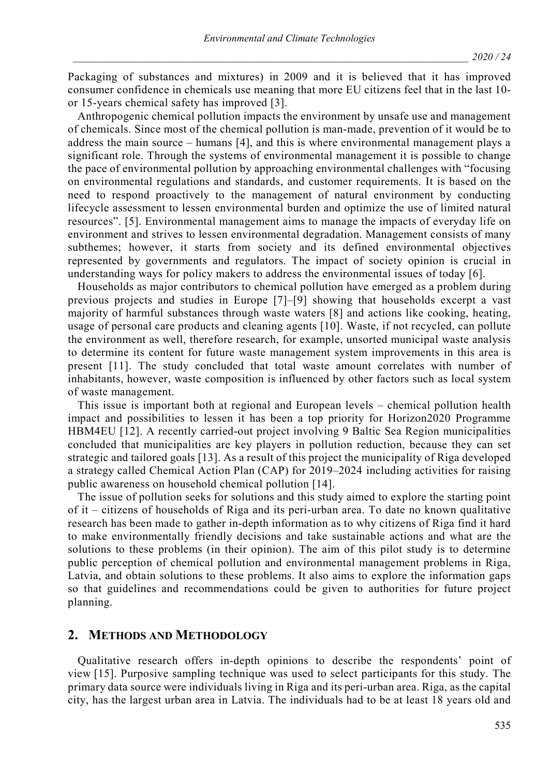Packaging of substances and mixtures) in 2009 and it is believed that it has improved consumer confidence in chemicals use meaning that more EU citizens feel that in the last 10 or 15-years chemical safety has improved [3].

Anthropogenic chemical pollution impacts the environment by unsafe use and management of chemicals. Since most of the chemical pollution is man-made, prevention of it would be to address the main source – humans [4], and this is where environmental management plays a significant role. Through the systems of environmental management it is possible to change the pace of environmental pollution by approaching environmental challenges with "focusing on environmental regulations and standards, and customer requirements. It is based on the need to respond proactively to the management of natural environment by conducting lifecycle assessment to lessen environmental burden and optimize the use of limited natural resources". [5]. Environmental management aims to manage the impacts of everyday life on environment and strives to lessen environmental degradation. Management consists of many subthemes; however, it starts from society and its defined environmental objectives represented by governments and regulators. The impact of society opinion is crucial in understanding ways for policy makers to address the environmental issues of today [6].

Households as major contributors to chemical pollution have emerged as a problem during previous projects and studies in Europe [7]–[9] showing that households excerpt a vast majority of harmful substances through waste waters [8] and actions like cooking, heating, usage of personal care products and cleaning agents [10]. Waste, if not recycled, can pollute the environment as well, therefore research, for example, unsorted municipal waste analysis to determine its content for future waste management system improvements in this area is present [11]. The study concluded that total waste amount correlates with number of inhabitants, however, waste composition is influenced by other factors such as local system of waste management.

This issue is important both at regional and European levels – chemical pollution health impact and possibilities to lessen it has been a top priority for Horizon2020 Programme HBM4EU [12]. A recently carried-out project involving 9 Baltic Sea Region municipalities concluded that municipalities are key players in pollution reduction, because they can set strategic and tailored goals [13]. As a result of this project the municipality of Riga developed a strategy called Chemical Action Plan (CAP) for 2019–2024 including activities for raising public awareness on household chemical pollution [14].

The issue of pollution seeks for solutions and this study aimed to explore the starting point of it – citizens of households of Riga and its peri-urban area. To date no known qualitative research has been made to gather in-depth information as to why citizens of Riga find it hard to make environmentally friendly decisions and take sustainable actions and what are the solutions to these problems (in their opinion). The aim of this pilot study is to determine public perception of chemical pollution and environmental management problems in Riga, Latvia, and obtain solutions to these problems. It also aims to explore the information gaps so that guidelines and recommendations could be given to authorities for future project planning.

## **2. METHODS AND METHODOLOGY**

Qualitative research offers in-depth opinions to describe the respondents' point of view [15]. Purposive sampling technique was used to select participants for this study. The primary data source were individuals living in Riga and its peri-urban area. Riga, as the capital city, has the largest urban area in Latvia. The individuals had to be at least 18 years old and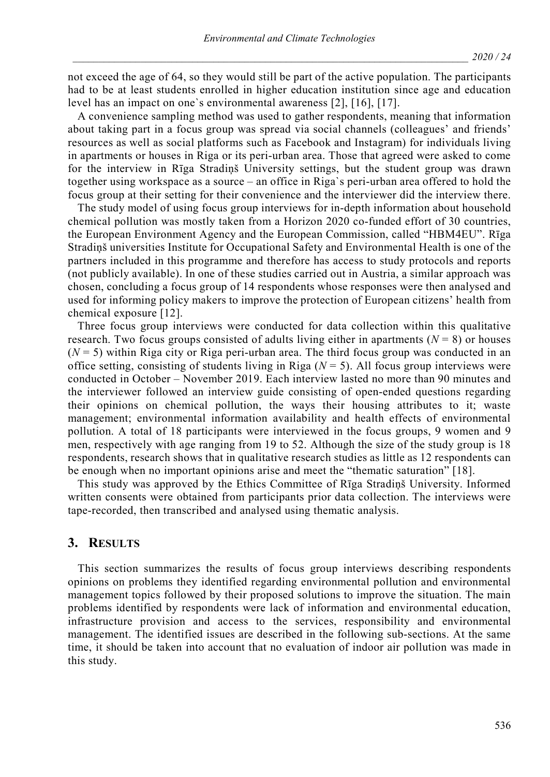not exceed the age of 64, so they would still be part of the active population. The participants had to be at least students enrolled in higher education institution since age and education level has an impact on one`s environmental awareness [2], [16], [17].

A convenience sampling method was used to gather respondents, meaning that information about taking part in a focus group was spread via social channels (colleagues' and friends' resources as well as social platforms such as Facebook and Instagram) for individuals living in apartments or houses in Riga or its peri-urban area. Those that agreed were asked to come for the interview in Rīga Stradiņš University settings, but the student group was drawn together using workspace as a source – an office in Riga`s peri-urban area offered to hold the focus group at their setting for their convenience and the interviewer did the interview there.

The study model of using focus group interviews for in-depth information about household chemical pollution was mostly taken from a Horizon 2020 co-funded effort of 30 countries, the European Environment Agency and the European Commission, called "HBM4EU". Rīga Stradiņš universities Institute for Occupational Safety and Environmental Health is one of the partners included in this programme and therefore has access to study protocols and reports (not publicly available). In one of these studies carried out in Austria, a similar approach was chosen, concluding a focus group of 14 respondents whose responses were then analysed and used for informing policy makers to improve the protection of European citizens' health from chemical exposure [12].

Three focus group interviews were conducted for data collection within this qualitative research. Two focus groups consisted of adults living either in apartments ( $N = 8$ ) or houses  $(N = 5)$  within Riga city or Riga peri-urban area. The third focus group was conducted in an office setting, consisting of students living in Riga  $(N = 5)$ . All focus group interviews were conducted in October – November 2019. Each interview lasted no more than 90 minutes and the interviewer followed an interview guide consisting of open-ended questions regarding their opinions on chemical pollution, the ways their housing attributes to it; waste management; environmental information availability and health effects of environmental pollution. A total of 18 participants were interviewed in the focus groups, 9 women and 9 men, respectively with age ranging from 19 to 52. Although the size of the study group is 18 respondents, research shows that in qualitative research studies as little as 12 respondents can be enough when no important opinions arise and meet the "thematic saturation" [18].

This study was approved by the Ethics Committee of Rīga Stradiņš University. Informed written consents were obtained from participants prior data collection. The interviews were tape-recorded, then transcribed and analysed using thematic analysis.

## **3. RESULTS**

This section summarizes the results of focus group interviews describing respondents opinions on problems they identified regarding environmental pollution and environmental management topics followed by their proposed solutions to improve the situation. The main problems identified by respondents were lack of information and environmental education, infrastructure provision and access to the services, responsibility and environmental management. The identified issues are described in the following sub-sections. At the same time, it should be taken into account that no evaluation of indoor air pollution was made in this study.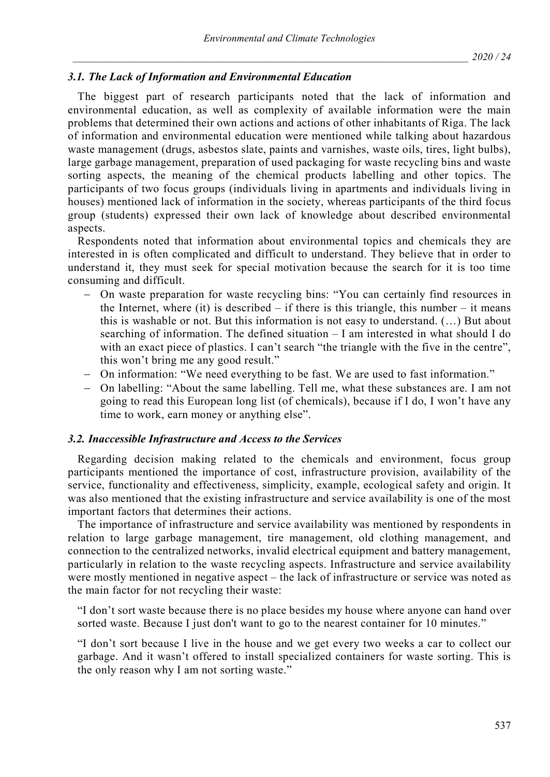## *3.1. The Lack of Information and Environmental Education*

The biggest part of research participants noted that the lack of information and environmental education, as well as complexity of available information were the main problems that determined their own actions and actions of other inhabitants of Riga. The lack of information and environmental education were mentioned while talking about hazardous waste management (drugs, asbestos slate, paints and varnishes, waste oils, tires, light bulbs), large garbage management, preparation of used packaging for waste recycling bins and waste sorting aspects, the meaning of the chemical products labelling and other topics. The participants of two focus groups (individuals living in apartments and individuals living in houses) mentioned lack of information in the society, whereas participants of the third focus group (students) expressed their own lack of knowledge about described environmental aspects.

Respondents noted that information about environmental topics and chemicals they are interested in is often complicated and difficult to understand. They believe that in order to understand it, they must seek for special motivation because the search for it is too time consuming and difficult.

- − On waste preparation for waste recycling bins: "You can certainly find resources in the Internet, where (it) is described  $-$  if there is this triangle, this number  $-$  it means this is washable or not. But this information is not easy to understand. (…) But about searching of information. The defined situation – I am interested in what should I do with an exact piece of plastics. I can't search "the triangle with the five in the centre", this won't bring me any good result."
- − On information: "We need everything to be fast. We are used to fast information."
- − On labelling: "About the same labelling. Tell me, what these substances are. I am not going to read this European long list (of chemicals), because if I do, I won't have any time to work, earn money or anything else".

#### *3.2. Inaccessible Infrastructure and Access to the Services*

Regarding decision making related to the chemicals and environment, focus group participants mentioned the importance of cost, infrastructure provision, availability of the service, functionality and effectiveness, simplicity, example, ecological safety and origin. It was also mentioned that the existing infrastructure and service availability is one of the most important factors that determines their actions.

The importance of infrastructure and service availability was mentioned by respondents in relation to large garbage management, tire management, old clothing management, and connection to the centralized networks, invalid electrical equipment and battery management, particularly in relation to the waste recycling aspects. Infrastructure and service availability were mostly mentioned in negative aspect – the lack of infrastructure or service was noted as the main factor for not recycling their waste:

"I don't sort waste because there is no place besides my house where anyone can hand over sorted waste. Because I just don't want to go to the nearest container for 10 minutes."

"I don't sort because I live in the house and we get every two weeks a car to collect our garbage. And it wasn't offered to install specialized containers for waste sorting. This is the only reason why I am not sorting waste."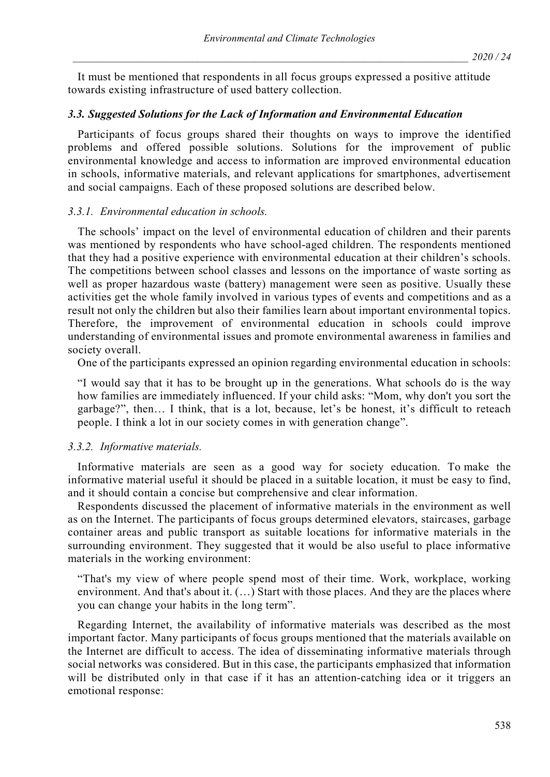It must be mentioned that respondents in all focus groups expressed a positive attitude towards existing infrastructure of used battery collection.

#### *3.3. Suggested Solutions for the Lack of Information and Environmental Education*

Participants of focus groups shared their thoughts on ways to improve the identified problems and offered possible solutions. Solutions for the improvement of public environmental knowledge and access to information are improved environmental education in schools, informative materials, and relevant applications for smartphones, advertisement and social campaigns. Each of these proposed solutions are described below.

#### *3.3.1. Environmental education in schools.*

The schools' impact on the level of environmental education of children and their parents was mentioned by respondents who have school-aged children. The respondents mentioned that they had a positive experience with environmental education at their children's schools. The competitions between school classes and lessons on the importance of waste sorting as well as proper hazardous waste (battery) management were seen as positive. Usually these activities get the whole family involved in various types of events and competitions and as a result not only the children but also their families learn about important environmental topics. Therefore, the improvement of environmental education in schools could improve understanding of environmental issues and promote environmental awareness in families and society overall.

One of the participants expressed an opinion regarding environmental education in schools:

"I would say that it has to be brought up in the generations. What schools do is the way how families are immediately influenced. If your child asks: "Mom, why don't you sort the garbage?", then… I think, that is a lot, because, let's be honest, it's difficult to reteach people. I think a lot in our society comes in with generation change".

#### *3.3.2. Informative materials.*

Informative materials are seen as a good way for society education. To make the informative material useful it should be placed in a suitable location, it must be easy to find, and it should contain a concise but comprehensive and clear information.

Respondents discussed the placement of informative materials in the environment as well as on the Internet. The participants of focus groups determined elevators, staircases, garbage container areas and public transport as suitable locations for informative materials in the surrounding environment. They suggested that it would be also useful to place informative materials in the working environment:

"That's my view of where people spend most of their time. Work, workplace, working environment. And that's about it. (...) Start with those places. And they are the places where you can change your habits in the long term".

Regarding Internet, the availability of informative materials was described as the most important factor. Many participants of focus groups mentioned that the materials available on the Internet are difficult to access. The idea of disseminating informative materials through social networks was considered. But in this case, the participants emphasized that information will be distributed only in that case if it has an attention-catching idea or it triggers an emotional response: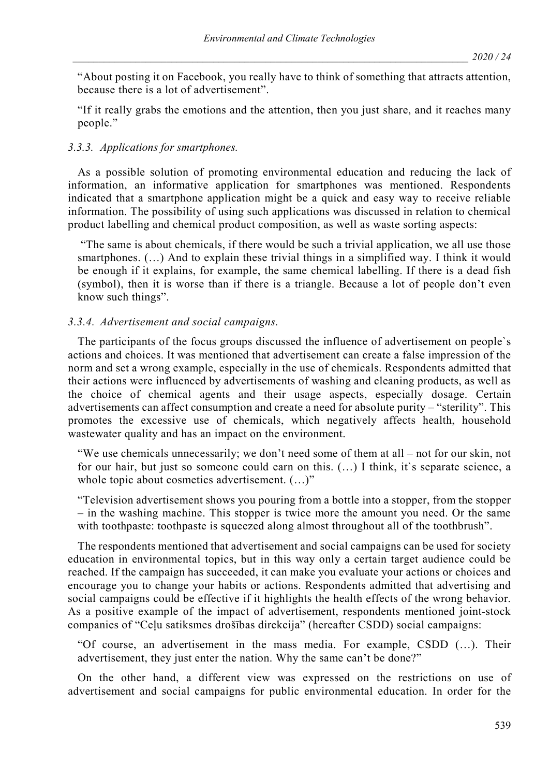"About posting it on Facebook, you really have to think of something that attracts attention, because there is a lot of advertisement".

"If it really grabs the emotions and the attention, then you just share, and it reaches many people."

## *3.3.3. Applications for smartphones.*

As a possible solution of promoting environmental education and reducing the lack of information, an informative application for smartphones was mentioned. Respondents indicated that a smartphone application might be a quick and easy way to receive reliable information. The possibility of using such applications was discussed in relation to chemical product labelling and chemical product composition, as well as waste sorting aspects:

"The same is about chemicals, if there would be such a trivial application, we all use those smartphones.  $(...)$  And to explain these trivial things in a simplified way. I think it would be enough if it explains, for example, the same chemical labelling. If there is a dead fish (symbol), then it is worse than if there is a triangle. Because a lot of people don't even know such things".

## *3.3.4. Advertisement and social campaigns.*

The participants of the focus groups discussed the influence of advertisement on people`s actions and choices. It was mentioned that advertisement can create a false impression of the norm and set a wrong example, especially in the use of chemicals. Respondents admitted that their actions were influenced by advertisements of washing and cleaning products, as well as the choice of chemical agents and their usage aspects, especially dosage. Certain advertisements can affect consumption and create a need for absolute purity – "sterility". This promotes the excessive use of chemicals, which negatively affects health, household wastewater quality and has an impact on the environment.

"We use chemicals unnecessarily; we don't need some of them at all – not for our skin, not for our hair, but just so someone could earn on this. (...) I think, it's separate science, a whole topic about cosmetics advertisement.  $(...)$ "

"Television advertisement shows you pouring from a bottle into a stopper, from the stopper – in the washing machine. This stopper is twice more the amount you need. Or the same with toothpaste: toothpaste is squeezed along almost throughout all of the toothbrush".

The respondents mentioned that advertisement and social campaigns can be used for society education in environmental topics, but in this way only a certain target audience could be reached. If the campaign has succeeded, it can make you evaluate your actions or choices and encourage you to change your habits or actions. Respondents admitted that advertising and social campaigns could be effective if it highlights the health effects of the wrong behavior. As a positive example of the impact of advertisement, respondents mentioned joint-stock companies of "Ceļu satiksmes drošības direkcija" (hereafter CSDD) social campaigns:

"Of course, an advertisement in the mass media. For example, CSDD (…). Their advertisement, they just enter the nation. Why the same can't be done?"

On the other hand, a different view was expressed on the restrictions on use of advertisement and social campaigns for public environmental education. In order for the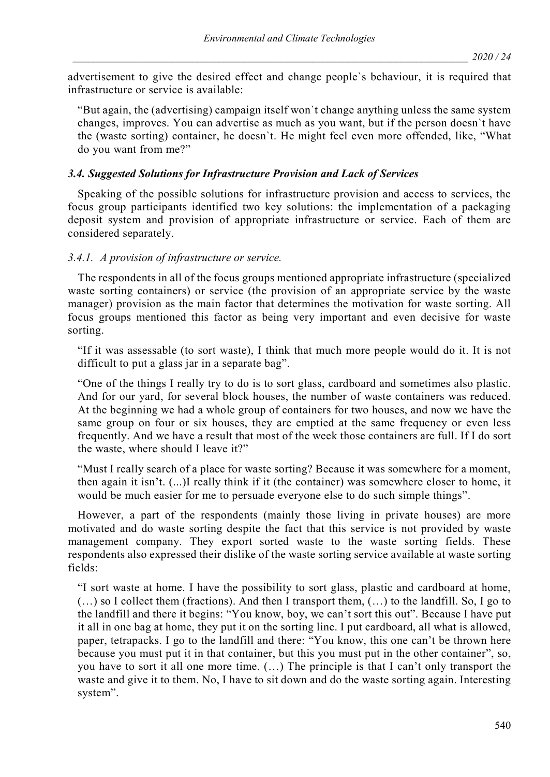advertisement to give the desired effect and change people`s behaviour, it is required that infrastructure or service is available:

"But again, the (advertising) campaign itself won`t change anything unless the same system changes, improves. You can advertise as much as you want, but if the person doesn`t have the (waste sorting) container, he doesn`t. He might feel even more offended, like, "What do you want from me?"

## *3.4. Suggested Solutions for Infrastructure Provision and Lack of Services*

Speaking of the possible solutions for infrastructure provision and access to services, the focus group participants identified two key solutions: the implementation of a packaging deposit system and provision of appropriate infrastructure or service. Each of them are considered separately.

#### *3.4.1. A provision of infrastructure or service.*

The respondents in all of the focus groups mentioned appropriate infrastructure (specialized waste sorting containers) or service (the provision of an appropriate service by the waste manager) provision as the main factor that determines the motivation for waste sorting. All focus groups mentioned this factor as being very important and even decisive for waste sorting.

"If it was assessable (to sort waste), I think that much more people would do it. It is not difficult to put a glass jar in a separate bag".

"One of the things I really try to do is to sort glass, cardboard and sometimes also plastic. And for our yard, for several block houses, the number of waste containers was reduced. At the beginning we had a whole group of containers for two houses, and now we have the same group on four or six houses, they are emptied at the same frequency or even less frequently. And we have a result that most of the week those containers are full. If I do sort the waste, where should I leave it?"

"Must I really search of a place for waste sorting? Because it was somewhere for a moment, then again it isn't. (...)I really think if it (the container) was somewhere closer to home, it would be much easier for me to persuade everyone else to do such simple things".

However, a part of the respondents (mainly those living in private houses) are more motivated and do waste sorting despite the fact that this service is not provided by waste management company. They export sorted waste to the waste sorting fields. These respondents also expressed their dislike of the waste sorting service available at waste sorting fields:

"I sort waste at home. I have the possibility to sort glass, plastic and cardboard at home, (…) so I collect them (fractions). And then I transport them, (…) to the landfill. So, I go to the landfill and there it begins: "You know, boy, we can't sort this out". Because I have put it all in one bag at home, they put it on the sorting line. I put cardboard, all what is allowed, paper, tetrapacks. I go to the landfill and there: "You know, this one can't be thrown here because you must put it in that container, but this you must put in the other container", so, you have to sort it all one more time. (…) The principle is that I can't only transport the waste and give it to them. No, I have to sit down and do the waste sorting again. Interesting system".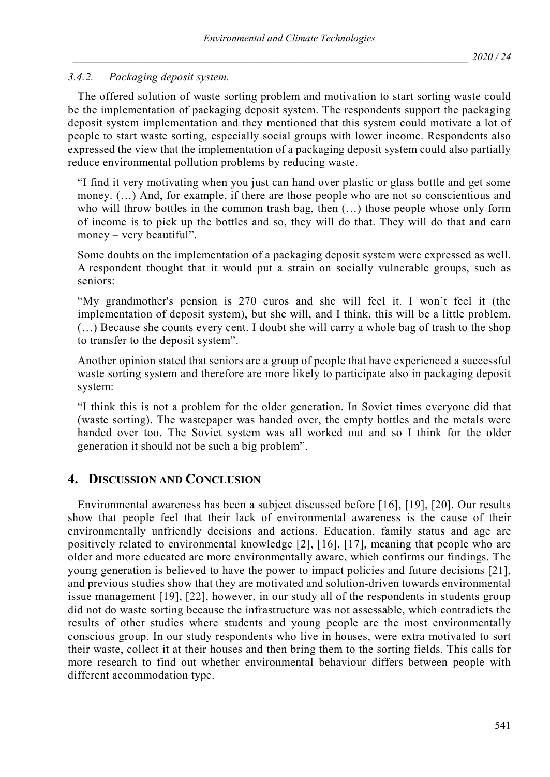## *3.4.2. Packaging deposit system.*

The offered solution of waste sorting problem and motivation to start sorting waste could be the implementation of packaging deposit system. The respondents support the packaging deposit system implementation and they mentioned that this system could motivate a lot of people to start waste sorting, especially social groups with lower income. Respondents also expressed the view that the implementation of a packaging deposit system could also partially reduce environmental pollution problems by reducing waste.

"I find it very motivating when you just can hand over plastic or glass bottle and get some money. (…) And, for example, if there are those people who are not so conscientious and who will throw bottles in the common trash bag, then (…) those people whose only form of income is to pick up the bottles and so, they will do that. They will do that and earn money – very beautiful".

Some doubts on the implementation of a packaging deposit system were expressed as well. A respondent thought that it would put a strain on socially vulnerable groups, such as seniors:

"My grandmother's pension is 270 euros and she will feel it. I won't feel it (the implementation of deposit system), but she will, and I think, this will be a little problem. (…) Because she counts every cent. I doubt she will carry a whole bag of trash to the shop to transfer to the deposit system".

Another opinion stated that seniors are a group of people that have experienced a successful waste sorting system and therefore are more likely to participate also in packaging deposit system:

"I think this is not a problem for the older generation. In Soviet times everyone did that (waste sorting). The wastepaper was handed over, the empty bottles and the metals were handed over too. The Soviet system was all worked out and so I think for the older generation it should not be such a big problem".

## **4. DISCUSSION AND CONCLUSION**

Environmental awareness has been a subject discussed before [16], [19], [20]. Our results show that people feel that their lack of environmental awareness is the cause of their environmentally unfriendly decisions and actions. Education, family status and age are positively related to environmental knowledge [2], [16], [17], meaning that people who are older and more educated are more environmentally aware, which confirms our findings. The young generation is believed to have the power to impact policies and future decisions [21], and previous studies show that they are motivated and solution-driven towards environmental issue management [19], [22], however, in our study all of the respondents in students group did not do waste sorting because the infrastructure was not assessable, which contradicts the results of other studies where students and young people are the most environmentally conscious group. In our study respondents who live in houses, were extra motivated to sort their waste, collect it at their houses and then bring them to the sorting fields. This calls for more research to find out whether environmental behaviour differs between people with different accommodation type.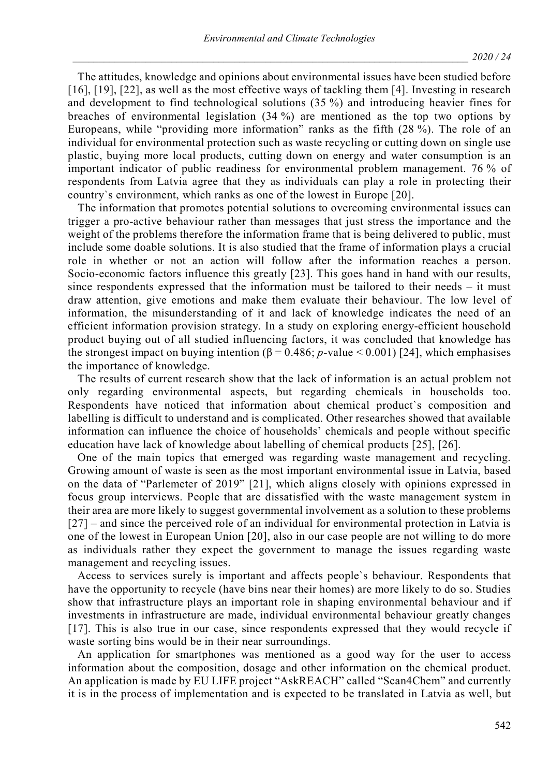The attitudes, knowledge and opinions about environmental issues have been studied before [16], [19], [22], as well as the most effective ways of tackling them [4]. Investing in research and development to find technological solutions (35 %) and introducing heavier fines for breaches of environmental legislation (34 %) are mentioned as the top two options by Europeans, while "providing more information" ranks as the fifth (28 %). The role of an individual for environmental protection such as waste recycling or cutting down on single use plastic, buying more local products, cutting down on energy and water consumption is an important indicator of public readiness for environmental problem management. 76 % of respondents from Latvia agree that they as individuals can play a role in protecting their country`s environment, which ranks as one of the lowest in Europe [20].

The information that promotes potential solutions to overcoming environmental issues can trigger a pro-active behaviour rather than messages that just stress the importance and the weight of the problems therefore the information frame that is being delivered to public, must include some doable solutions. It is also studied that the frame of information plays a crucial role in whether or not an action will follow after the information reaches a person. Socio-economic factors influence this greatly [23]. This goes hand in hand with our results, since respondents expressed that the information must be tailored to their needs – it must draw attention, give emotions and make them evaluate their behaviour. The low level of information, the misunderstanding of it and lack of knowledge indicates the need of an efficient information provision strategy. In a study on exploring energy-efficient household product buying out of all studied influencing factors, it was concluded that knowledge has the strongest impact on buying intention  $(\beta = 0.486; p-value < 0.001)$  [24], which emphasises the importance of knowledge.

The results of current research show that the lack of information is an actual problem not only regarding environmental aspects, but regarding chemicals in households too. Respondents have noticed that information about chemical product`s composition and labelling is difficult to understand and is complicated. Other researches showed that available information can influence the choice of households' chemicals and people without specific education have lack of knowledge about labelling of chemical products [25], [26].

One of the main topics that emerged was regarding waste management and recycling. Growing amount of waste is seen as the most important environmental issue in Latvia, based on the data of "Parlemeter of 2019" [21], which aligns closely with opinions expressed in focus group interviews. People that are dissatisfied with the waste management system in their area are more likely to suggest governmental involvement as a solution to these problems [27] – and since the perceived role of an individual for environmental protection in Latvia is one of the lowest in European Union [20], also in our case people are not willing to do more as individuals rather they expect the government to manage the issues regarding waste management and recycling issues.

Access to services surely is important and affects people`s behaviour. Respondents that have the opportunity to recycle (have bins near their homes) are more likely to do so. Studies show that infrastructure plays an important role in shaping environmental behaviour and if investments in infrastructure are made, individual environmental behaviour greatly changes [17]. This is also true in our case, since respondents expressed that they would recycle if waste sorting bins would be in their near surroundings.

An application for smartphones was mentioned as a good way for the user to access information about the composition, dosage and other information on the chemical product. An application is made by EU LIFE project "AskREACH" called "Scan4Chem" and currently it is in the process of implementation and is expected to be translated in Latvia as well, but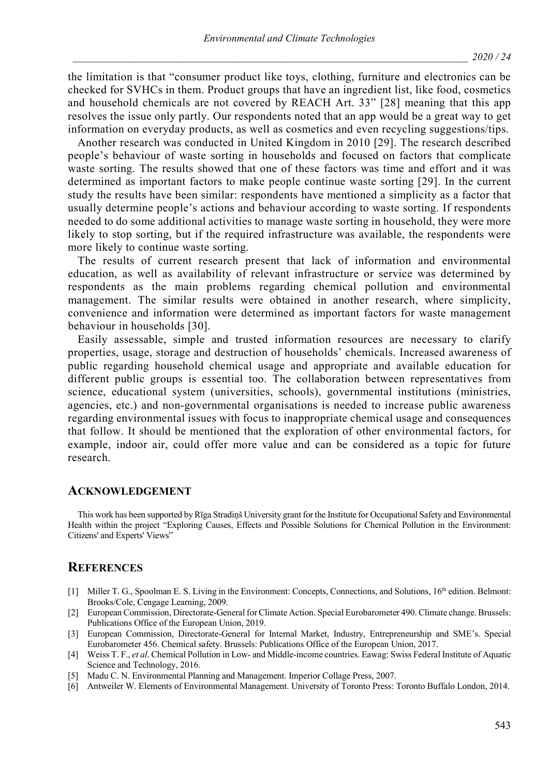the limitation is that "consumer product like toys, clothing, furniture and electronics can be checked for SVHCs in them. Product groups that have an ingredient list, like food, cosmetics and household chemicals are not covered by REACH Art. 33" [28] meaning that this app resolves the issue only partly. Our respondents noted that an app would be a great way to get information on everyday products, as well as cosmetics and even recycling suggestions/tips.

Another research was conducted in United Kingdom in 2010 [29]. The research described people's behaviour of waste sorting in households and focused on factors that complicate waste sorting. The results showed that one of these factors was time and effort and it was determined as important factors to make people continue waste sorting [29]. In the current study the results have been similar: respondents have mentioned a simplicity as a factor that usually determine people's actions and behaviour according to waste sorting. If respondents needed to do some additional activities to manage waste sorting in household, they were more likely to stop sorting, but if the required infrastructure was available, the respondents were more likely to continue waste sorting.

The results of current research present that lack of information and environmental education, as well as availability of relevant infrastructure or service was determined by respondents as the main problems regarding chemical pollution and environmental management. The similar results were obtained in another research, where simplicity, convenience and information were determined as important factors for waste management behaviour in households [30].

Easily assessable, simple and trusted information resources are necessary to clarify properties, usage, storage and destruction of households' chemicals. Increased awareness of public regarding household chemical usage and appropriate and available education for different public groups is essential too. The collaboration between representatives from science, educational system (universities, schools), governmental institutions (ministries, agencies, etc.) and non-governmental organisations is needed to increase public awareness regarding environmental issues with focus to inappropriate chemical usage and consequences that follow. It should be mentioned that the exploration of other environmental factors, for example, indoor air, could offer more value and can be considered as a topic for future research.

#### **ACKNOWLEDGEMENT**

This work has been supported by Rīga Stradiņš University grant for the Institute for Occupational Safety and Environmental Health within the project "Exploring Causes, Effects and Possible Solutions for Chemical Pollution in the Environment: Citizens' and Experts' Views"

#### **REFERENCES**

- [1] Miller T. G., Spoolman E. S. Living in the Environment: Concepts, Connections, and Solutions, 16th edition. Belmont: Brooks/Cole, Cengage Learning, 2009.
- [2] European Commission, Directorate-General for Climate Action. Special Eurobarometer 490. Climate change. Brussels: Publications Office of the European Union, 2019.
- [3] European Commission, Directorate-General for Internal Market, Industry, Entrepreneurship and SME's. Special Eurobarometer 456. Chemical safety. Brussels: Publications Office of the European Union, 2017.
- [4] Weiss T. F., *et al*. Chemical Pollution in Low- and Middle-income countries. Eawag: Swiss Federal Institute of Aquatic Science and Technology, 2016.
- [5] Madu C. N. Environmental Planning and Management. Imperior Collage Press, 2007.
- [6] Antweiler W. Elements of Environmental Management. University of Toronto Press: Toronto Buffalo London, 2014.